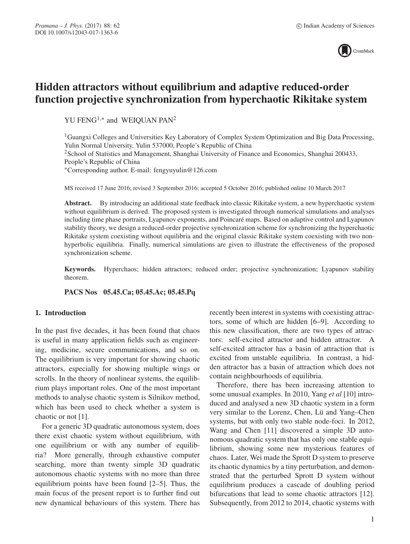

# **Hidden attractors without equilibrium and adaptive reduced-order function projective synchronization from hyperchaotic Rikitake system**

YU FENG<sup>1,∗</sup> and WEIQUAN PAN<sup>2</sup>

<sup>1</sup>Guangxi Colleges and Universities Key Laboratory of Complex System Optimization and Big Data Processing, Yulin Normal University, Yulin 537000, People's Republic of China

<sup>2</sup>School of Statistics and Management, Shanghai University of Finance and Economics, Shanghai 200433, People's Republic of China

∗Corresponding author. E-mail: fengyuyulin@126.com

MS received 17 June 2016; revised 3 September 2016; accepted 5 October 2016; published online 10 March 2017

Abstract. By introducing an additional state feedback into classic Rikitake system, a new hyperchaotic system without equilibrium is derived. The proposed system is investigated through numerical simulations and analyses including time phase portraits, Lyapunov exponents, and Poincaré maps. Based on adaptive control and Lyapunov stability theory, we design a reduced-order projective synchronization scheme for synchronizing the hyperchaotic Rikitake system coexisting without equilibria and the original classic Rikitake system coexisting with two nonhyperbolic equilibria. Finally, numerical simulations are given to illustrate the effectiveness of the proposed synchronization scheme.

**Keywords.** Hyperchaos; hidden attractors; reduced order; projective synchronization; Lyapunov stability theorem.

**PACS Nos 05.45.Ca; 05.45.Ac; 05.45.Pq**

## **1. Introduction**

In the past five decades, it has been found that chaos is useful in many application fields such as engineering, medicine, secure communications, and so on. The equilibrium is very important for showing chaotic attractors, especially for showing multiple wings or scrolls. In the theory of nonlinear systems, the equilibrium plays important roles. One of the most important methods to analyse chaotic system is Silnikov method, which has been used to check whether a system is chaotic or not [1].

For a generic 3D quadratic autonomous system, does there exist chaotic system without equilibrium, with one equilibrium or with any number of equilibria? More generally, through exhaustive computer searching, more than twenty simple 3D quadratic autonomous chaotic systems with no more than three equilibrium points have been found [2–5]. Thus, the main focus of the present report is to further find out new dynamical behaviours of this system. There has recently been interest in systems with coexisting attractors, some of which are hidden [6–9]. According to this new classification, there are two types of attractors: self-excited attractor and hidden attractor. A self-excited attractor has a basin of attraction that is excited from unstable equilibria. In contrast, a hidden attractor has a basin of attraction which does not contain neighbourhoods of equilibria.

Therefore, there has been increasing attention to some unusual examples. In 2010, Yang *et al* [10] introduced and analysed a new 3D chaotic system in a form very similar to the Lorenz, Chen, Lü and Yang–Chen systems, but with only two stable node-foci. In 2012, Wang and Chen [11] discovered a simple 3D autonomous quadratic system that has only one stable equilibrium, showing some new mysterious features of chaos. Later, Wei made the Sprott D system to preserve its chaotic dynamics by a tiny perturbation, and demonstrated that the perturbed Sprott D system without equilibrium produces a cascade of doubling period bifurcations that lead to some chaotic attractors [12]. Subsequently, from 2012 to 2014, chaotic systems with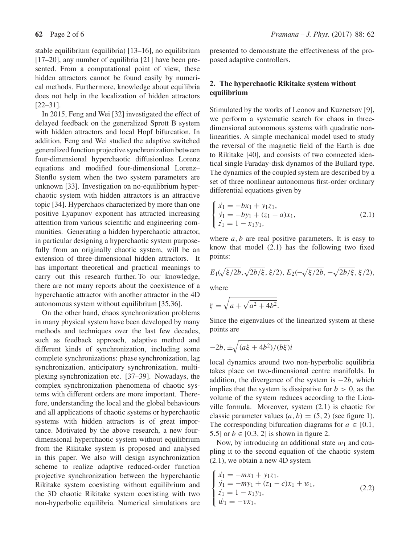stable equilibrium (equilibria) [13–16], no equilibrium [17–20], any number of equilibria [21] have been presented. From a computational point of view, these hidden attractors cannot be found easily by numerical methods. Furthermore, knowledge about equilibria does not help in the localization of hidden attractors [22–31].

In 2015, Feng and Wei [32] investigated the effect of delayed feedback on the generalized Sprott B system with hidden attractors and local Hopf bifurcation. In addition, Feng and Wei studied the adaptive switched generalized function projective synchronization between four-dimensional hyperchaotic diffusionless Lorenz equations and modified four-dimensional Lorenz– Stenflo system when the two system parameters are unknown [33]. Investigation on no-equilibrium hyperchaotic system with hidden attractors is an attractive topic [34]. Hyperchaos characterized by more than one positive Lyapunov exponent has attracted increasing attention from various scientific and engineering communities. Generating a hidden hyperchaotic attractor, in particular designing a hyperchaotic system purposefully from an originally chaotic system, will be an extension of three-dimensional hidden attractors. It has important theoretical and practical meanings to carry out this research further. To our knowledge, there are not many reports about the coexistence of a hyperchaotic attractor with another attractor in the 4D autonomous system without equilibrium [35,36].

On the other hand, chaos synchronization problems in many physical system have been developed by many methods and techniques over the last few decades, such as feedback approach, adaptive method and different kinds of synchronization, including some complete synchronizations: phase synchronization, lag synchronization, anticipatory synchronization, multiplexing synchronization etc. [37–39]. Nowadays, the complex synchronization phenomena of chaotic systems with different orders are more important. Therefore, understanding the local and the global behaviours and all applications of chaotic systems or hyperchaotic systems with hidden attractors is of great importance. Motivated by the above research, a new fourdimensional hyperchaotic system without equilibrium from the Rikitake system is proposed and analysed in this paper. We also will design asynchronization scheme to realize adaptive reduced-order function projective synchronization between the hyperchaotic Rikitake system coexisting without equilibrium and the 3D chaotic Rikitake system coexisting with two non-hyperbolic equilibria. Numerical simulations are presented to demonstrate the effectiveness of the proposed adaptive controllers.

## **2. The hyperchaotic Rikitake system without equilibrium**

Stimulated by the works of Leonov and Kuznetsov [9], we perform a systematic search for chaos in threedimensional autonomous systems with quadratic nonlinearities. A simple mechanical model used to study the reversal of the magnetic field of the Earth is due to Rikitake [40], and consists of two connected identical single Faraday-disk dynamos of the Bullard type. The dynamics of the coupled system are described by a set of three nonlinear autonomous first-order ordinary differential equations given by

$$
\begin{cases}\n\dot{x}_1 = -bx_1 + y_1z_1, \\
\dot{y}_1 = -by_1 + (z_1 - a)x_1, \\
\dot{z}_1 = 1 - x_1y_1,\n\end{cases}
$$
\n(2.1)

where  $a, b$  are real positive parameters. It is easy to know that model (2.1) has the following two fixed points:

$$
E_1(\sqrt{\xi/2b}, \sqrt{2b/\xi}, \xi/2), E_2(-\sqrt{\xi/2b}, -\sqrt{2b/\xi}, \xi/2),
$$

where

$$
\xi = \sqrt{a + \sqrt{a^2 + 4b^2}}.
$$

Since the eigenvalues of the linearized system at these points are

$$
-2b, \pm \sqrt{(a\xi + 4b^2)/(b\xi)i}
$$

local dynamics around two non-hyperbolic equilibria takes place on two-dimensional centre manifolds. In addition, the divergence of the system is  $-2b$ , which implies that the system is dissipative for  $b > 0$ , as the volume of the system reduces according to the Liouville formula. Moreover, system (2.1) is chaotic for classic parameter values  $(a, b) = (5, 2)$  (see figure 1). The corresponding bifurcation diagrams for  $a \in [0.1]$ , 5.5] or  $b \in [0.3, 2]$  is shown in figure 2.

Now, by introducing an additional state  $w_1$  and coupling it to the second equation of the chaotic system (2.1), we obtain a new 4D system

$$
\begin{cases}\n\dot{x}_1 = -mx_1 + y_1 z_1, \\
\dot{y}_1 = -my_1 + (z_1 - c)x_1 + w_1, \\
\dot{z}_1 = 1 - x_1 y_1, \\
\dot{w}_1 = -vx_1,\n\end{cases}
$$
\n(2.2)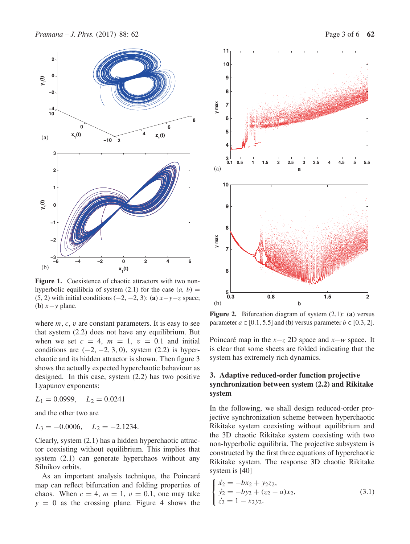*Pramana – J. Phys.* (2017) 88: 62 Page 3 of 6 **62** 



Figure 1. Coexistence of chaotic attractors with two nonhyperbolic equilibria of system  $(2.1)$  for the case  $(a, b)$  = (5, 2) with initial conditions  $(-2, -2, 3)$ : (**a**)  $x-y-z$  space; (**b**)  $x - y$  plane.

where  $m, c, v$  are constant parameters. It is easy to see that system (2.2) does not have any equilibrium. But when we set  $c = 4$ ,  $m = 1$ ,  $v = 0.1$  and initial conditions are  $(-2, -2, 3, 0)$ , system  $(2.2)$  is hyperchaotic and its hidden attractor is shown. Then figure 3 shows the actually expected hyperchaotic behaviour as designed. In this case, system (2.2) has two positive Lyapunov exponents:

$$
L_1 = 0.0999, \quad L_2 = 0.0241
$$

and the other two are

$$
L_3 = -0.0006, \quad L_2 = -2.1234.
$$

Clearly, system (2.1) has a hidden hyperchaotic attractor coexisting without equilibrium. This implies that system (2.1) can generate hyperchaos without any Silnikov orbits.

As an important analysis technique, the Poincaré map can reflect bifurcation and folding properties of chaos. When  $c = 4$ ,  $m = 1$ ,  $v = 0.1$ , one may take  $y = 0$  as the crossing plane. Figure 4 shows the



**Figure 2.** Bifurcation diagram of system (2.1): (**a**) versus parameter  $a \in [0.1, 5.5]$  and (**b**) versus parameter  $b \in [0.3, 2]$ .

Poincaré map in the *x*−*z* 2D space and *x*−*w* space. It is clear that some sheets are folded indicating that the system has extremely rich dynamics.

## **3. Adaptive reduced-order function projective synchronization between system (2.2) and Rikitake system**

In the following, we shall design reduced-order projective synchronization scheme between hyperchaotic Rikitake system coexisting without equilibrium and the 3D chaotic Rikitake system coexisting with two non-hyperbolic equilibria. The projective subsystem is constructed by the first three equations of hyperchaotic Rikitake system. The response 3D chaotic Rikitake system is [40]

$$
\begin{cases}\n\dot{x}_2 = -bx_2 + y_2z_2, \\
\dot{y}_2 = -by_2 + (z_2 - a)x_2, \\
\dot{z}_2 = 1 - x_2y_2.\n\end{cases}
$$
\n(3.1)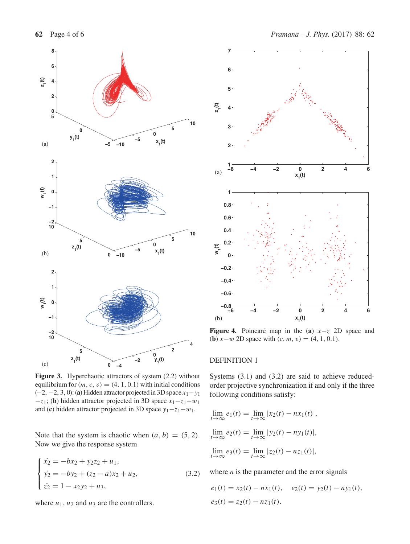

Figure 3. Hyperchaotic attractors of system  $(2.2)$  without equilibrium for  $(m, c, v) = (4, 1, 0.1)$  with initial conditions (−2, −2, 3, 0): (**a**) Hidden attractor projected in 3D space x1−y<sup>1</sup>  $-z_1$ ; (**b**) hidden attractor projected in 3D space  $x_1 - z_1 - w_1$ and (**c**) hidden attractor projected in 3D space  $y_1 - z_1 - w_1$ .

Note that the system is chaotic when  $(a, b) = (5, 2)$ . Now we give the response system

$$
\begin{cases}\n\dot{x}_2 = -bx_2 + y_2z_2 + u_1, \\
\dot{y}_2 = -by_2 + (z_2 - a)x_2 + u_2, \\
\dot{z}_2 = 1 - x_2y_2 + u_3,\n\end{cases}
$$
\n(3.2)

where  $u_1$ ,  $u_2$  and  $u_3$  are the controllers.



**Figure 4.** Poincaré map in the (**a**) x−z 2D space and (**b**)  $x-w$  2D space with  $(c, m, v) = (4, 1, 0.1)$ .

### DEFINITION 1

Systems (3.1) and (3.2) are said to achieve reducedorder projective synchronization if and only if the three following conditions satisfy:

$$
\lim_{t \to \infty} e_1(t) = \lim_{t \to \infty} |x_2(t) - nx_1(t)|,
$$
  
\n
$$
\lim_{t \to \infty} e_2(t) = \lim_{t \to \infty} |y_2(t) - ny_1(t)|,
$$
  
\n
$$
\lim_{t \to \infty} e_3(t) = \lim_{t \to \infty} |z_2(t) - nz_1(t)|,
$$

where  $n$  is the parameter and the error signals

$$
e_1(t) = x_2(t) - nx_1(t), \quad e_2(t) = y_2(t) - ny_1(t),
$$
  

$$
e_3(t) = z_2(t) - nz_1(t).
$$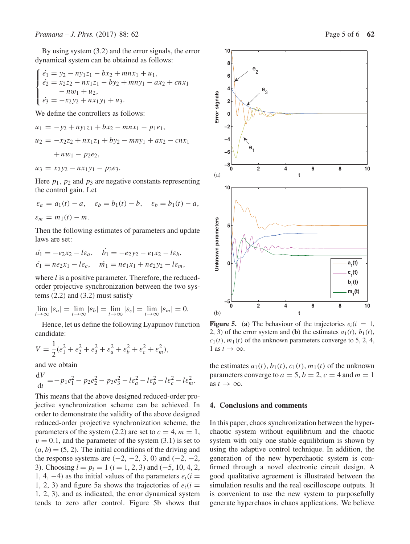By using system (3.2) and the error signals, the error dynamical system can be obtained as follows:

$$
\begin{cases}\n\dot{e}_1 = y_2 - n y_1 z_1 - b x_2 + m n x_1 + u_1, \\
\dot{e}_2 = x_2 z_2 - n x_1 z_1 - b y_2 + m n y_1 - a x_2 + c n x_1 \\
- n w_1 + u_2, \\
\dot{e}_3 = -x_2 y_2 + n x_1 y_1 + u_3.\n\end{cases}
$$

We define the controllers as follows:

$$
u_1 = -y_2 + ny_1z_1 + bx_2 - mnx_1 - p_1e_1,
$$
  
\n
$$
u_2 = -x_2z_2 + nx_1z_1 + by_2 - mny_1 + ax_2 - cnx_1
$$
  
\n
$$
+ nw_1 - p_2e_2,
$$

$$
u_3 = x_2y_2 - nx_1y_1 - p_3e_3.
$$

Here  $p_1$ ,  $p_2$  and  $p_3$  are negative constants representing the control gain. Let

$$
\varepsilon_a = a_1(t) - a, \quad \varepsilon_b = b_1(t) - b, \quad \varepsilon_b = b_1(t) - a,
$$
  

$$
\varepsilon_m = m_1(t) - m.
$$

Then the following estimates of parameters and update laws are set:

$$
\begin{aligned}\n\dot{a}_1 &= -e_2 x_2 - l \varepsilon_a, & \dot{b}_1 &= -e_2 y_2 - e_1 x_2 - l \varepsilon_b, \\
\dot{c}_1 &= n e_2 x_1 - l \varepsilon_c, & \dot{m}_1 &= n e_1 x_1 + n e_2 y_2 - l \varepsilon_m,\n\end{aligned}
$$

where  $l$  is a positive parameter. Therefore, the reducedorder projective synchronization between the two systems  $(2.2)$  and  $(3.2)$  must satisfy

$$
\lim_{t \to \infty} |\varepsilon_a| = \lim_{t \to \infty} |\varepsilon_b| = \lim_{t \to \infty} |\varepsilon_c| = \lim_{t \to \infty} |\varepsilon_m| = 0.
$$

Hence, let us define the following Lyapunov function candidate:

$$
V = \frac{1}{2}(e_1^2 + e_2^2 + e_3^2 + \varepsilon_a^2 + \varepsilon_b^2 + \varepsilon_c^2 + \varepsilon_m^2),
$$

and we obtain

$$
\frac{\mathrm{d}V}{\mathrm{d}t} = -p_1 e_1^2 - p_2 e_2^2 - p_3 e_3^2 - l \varepsilon_a^2 - l \varepsilon_b^2 - l \varepsilon_c^2 - l \varepsilon_m^2.
$$

This means that the above designed reduced-order projective synchronization scheme can be achieved. In order to demonstrate the validity of the above designed reduced-order projective synchronization scheme, the parameters of the system (2.2) are set to  $c = 4$ ,  $m = 1$ ,  $v = 0.1$ , and the parameter of the system (3.1) is set to  $(a, b) = (5, 2)$ . The initial conditions of the driving and the response systems are  $(-2, -2, 3, 0)$  and  $(-2, -2, 3, 0)$ 3). Choosing *l* = *p<sub>i</sub>* = 1 (*i* = 1, 2, 3) and (−5, 10, 4, 2, 1, 4,  $-4$ ) as the initial values of the parameters  $e_i(i = 1, 4, -4)$ 1, 2, 3) and figure 5a shows the trajectories of  $e_i(i =$ 1, 2, 3), and as indicated, the error dynamical system tends to zero after control. Figure 5b shows that

![](_page_4_Figure_18.jpeg)

**Figure 5.** (a) The behaviour of the trajectories  $e_i(i = 1,$ 2, 3) of the error system and (**b**) the estimates  $a_1(t)$ ,  $b_1(t)$ ,  $c_1(t)$ ,  $m_1(t)$  of the unknown parameters converge to 5, 2, 4, 1 as  $t \to \infty$ .

the estimates  $a_1(t)$ ,  $b_1(t)$ ,  $c_1(t)$ ,  $m_1(t)$  of the unknown parameters converge to  $a = 5$ ,  $b = 2$ ,  $c = 4$  and  $m = 1$ as  $t \to \infty$ .

### **4. Conclusions and comments**

In this paper, chaos synchronization between the hyperchaotic system without equilibrium and the chaotic system with only one stable equilibrium is shown by using the adaptive control technique. In addition, the generation of the new hyperchaotic system is confirmed through a novel electronic circuit design. A good qualitative agreement is illustrated between the simulation results and the real oscilloscope outputs. It is convenient to use the new system to purposefully generate hyperchaos in chaos applications. We believe